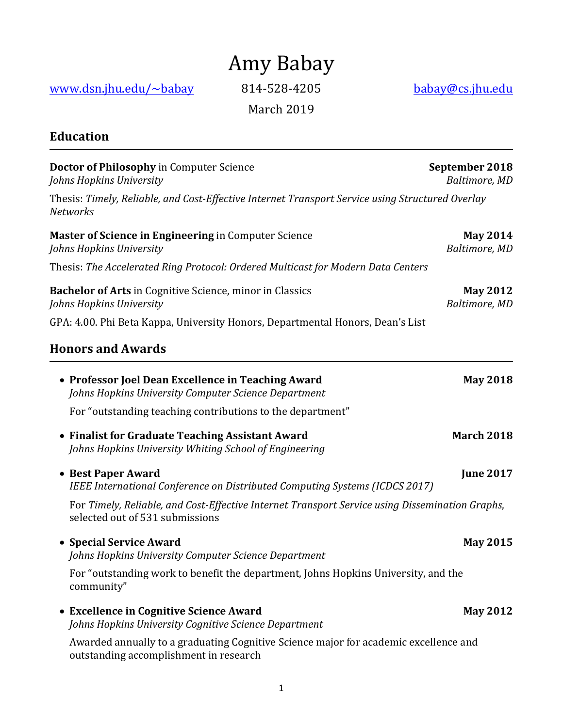# Amy Babay

www.dsn.jhu.edu/~babay 814-528-4205 babay@cs.jhu.edu

March 2019

# **Education**

| Doctor of Philosophy in Computer Science<br>Johns Hopkins University                                                               | September 2018<br>Baltimore, MD  |
|------------------------------------------------------------------------------------------------------------------------------------|----------------------------------|
| Thesis: Timely, Reliable, and Cost-Effective Internet Transport Service using Structured Overlay<br><b>Networks</b>                |                                  |
| <b>Master of Science in Engineering in Computer Science</b><br>Johns Hopkins University                                            | <b>May 2014</b><br>Baltimore, MD |
| Thesis: The Accelerated Ring Protocol: Ordered Multicast for Modern Data Centers                                                   |                                  |
| <b>Bachelor of Arts</b> in Cognitive Science, minor in Classics<br>Johns Hopkins University                                        | <b>May 2012</b><br>Baltimore, MD |
| GPA: 4.00. Phi Beta Kappa, University Honors, Departmental Honors, Dean's List                                                     |                                  |
| <b>Honors and Awards</b>                                                                                                           |                                  |
| • Professor Joel Dean Excellence in Teaching Award<br>Johns Hopkins University Computer Science Department                         | <b>May 2018</b>                  |
| For "outstanding teaching contributions to the department"                                                                         |                                  |
| • Finalist for Graduate Teaching Assistant Award<br>Johns Hopkins University Whiting School of Engineering                         | <b>March 2018</b>                |
| • Best Paper Award<br>IEEE International Conference on Distributed Computing Systems (ICDCS 2017)                                  | <b>June 2017</b>                 |
| For Timely, Reliable, and Cost-Effective Internet Transport Service using Dissemination Graphs,<br>selected out of 531 submissions |                                  |
| • Special Service Award<br>Johns Hopkins University Computer Science Department                                                    | <b>May 2015</b>                  |
| For "outstanding work to benefit the department, Johns Hopkins University, and the<br>community"                                   |                                  |
| • Excellence in Cognitive Science Award<br>Johns Hopkins University Cognitive Science Department                                   | <b>May 2012</b>                  |
| Awarded annually to a graduating Cognitive Science major for academic excellence and<br>outstanding accomplishment in research     |                                  |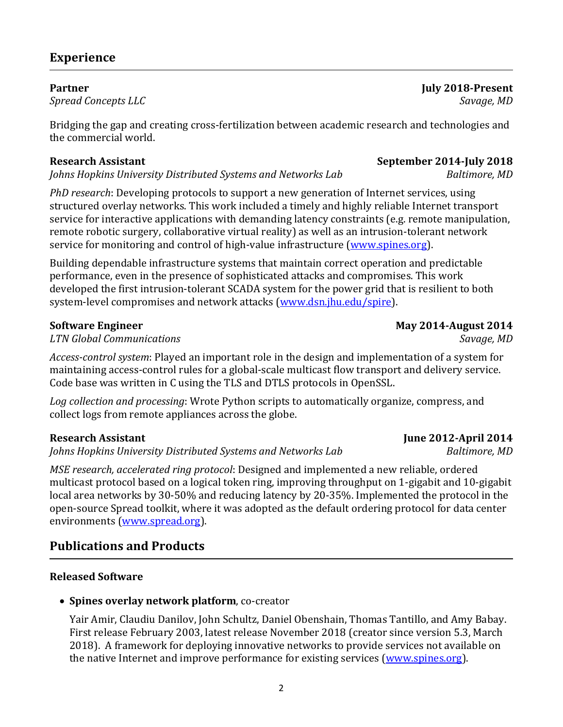## **Experience**

#### **Partner July 2018-Present**

**Spread Concepts LLC** Savage, MD

Bridging the gap and creating cross-fertilization between academic research and technologies and the commercial world.

*Johns Hopkins University Distributed Systems and Networks Lab Baltimore, MD* 

*PhD research*: Developing protocols to support a new generation of Internet services, using structured overlay networks. This work included a timely and highly reliable Internet transport service for interactive applications with demanding latency constraints (e.g. remote manipulation, remote robotic surgery, collaborative virtual reality) as well as an intrusion-tolerant network service for monitoring and control of high-value infrastructure (www.spines.org).

Building dependable infrastructure systems that maintain correct operation and predictable performance, even in the presence of sophisticated attacks and compromises. This work developed the first intrusion-tolerant SCADA system for the power grid that is resilient to both system-level compromises and network attacks (www.dsn.jhu.edu/spire).

#### **Software Engineer May 2014-August 2014**

*LTN Global Communications Savage, MD*

Access-control system: Played an important role in the design and implementation of a system for maintaining access-control rules for a global-scale multicast flow transport and delivery service. Code base was written in C using the TLS and DTLS protocols in OpenSSL.

Log collection and processing: Wrote Python scripts to automatically organize, compress, and collect logs from remote appliances across the globe.

#### **Research Assistant June 2012-April 2014**

*Johns Hopkins University Distributed Systems and Networks Lab Baltimore, MD* 

*MSE research, accelerated ring protocol*: Designed and implemented a new reliable, ordered multicast protocol based on a logical token ring, improving throughput on 1-gigabit and 10-gigabit local area networks by 30-50% and reducing latency by 20-35%. Implemented the protocol in the open-source Spread toolkit, where it was adopted as the default ordering protocol for data center environments (www.spread.org).

### **Publications and Products**

#### **Released Software**

• Spines overlay network platform, co-creator

Yair Amir, Claudiu Danilov, John Schultz, Daniel Obenshain, Thomas Tantillo, and Amy Babay. First release February 2003, latest release November 2018 (creator since version 5.3, March 2018). A framework for deploying innovative networks to provide services not available on the native Internet and improve performance for existing services (www.spines.org).

2

**Research Assistant September 2014-July 2018**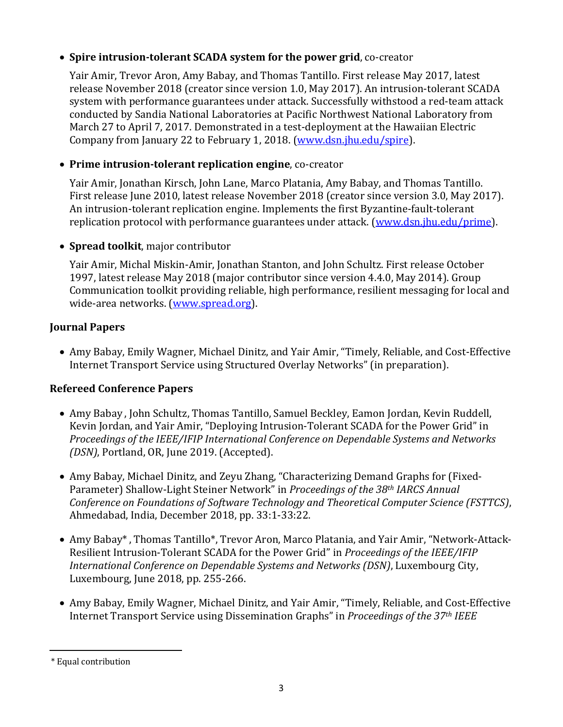#### • **Spire intrusion-tolerant SCADA system for the power grid**, co-creator

Yair Amir, Trevor Aron, Amy Babay, and Thomas Tantillo. First release May 2017, latest release November 2018 (creator since version 1.0, May 2017). An intrusion-tolerant SCADA system with performance guarantees under attack. Successfully withstood a red-team attack conducted by Sandia National Laboratories at Pacific Northwest National Laboratory from March 27 to April 7, 2017. Demonstrated in a test-deployment at the Hawaiian Electric Company from January 22 to February 1, 2018. (www.dsn.jhu.edu/spire).

#### • Prime intrusion-tolerant replication engine, co-creator

Yair Amir, Jonathan Kirsch, John Lane, Marco Platania, Amy Babay, and Thomas Tantillo. First release June 2010, latest release November 2018 (creator since version 3.0, May 2017). An intrusion-tolerant replication engine. Implements the first Byzantine-fault-tolerant replication protocol with performance guarantees under attack. (www.dsn.jhu.edu/prime).

#### • **Spread toolkit**, major contributor

Yair Amir, Michal Miskin-Amir, Jonathan Stanton, and John Schultz. First release October 1997, latest release May 2018 (major contributor since version 4.4.0, May 2014). Group Communication toolkit providing reliable, high performance, resilient messaging for local and wide-area networks. (www.spread.org).

### **Journal Papers**

• Amy Babay, Emily Wagner, Michael Dinitz, and Yair Amir, "Timely, Reliable, and Cost-Effective Internet Transport Service using Structured Overlay Networks" (in preparation).

### **Refereed Conference Papers**

- Amy Babay, John Schultz, Thomas Tantillo, Samuel Beckley, Eamon Jordan, Kevin Ruddell, Kevin Jordan, and Yair Amir, "Deploying Intrusion-Tolerant SCADA for the Power Grid" in *Proceedings of the IEEE/IFIP International Conference on Dependable Systems and Networks (DSN)*, Portland, OR, June 2019. (Accepted).
- Amy Babay, Michael Dinitz, and Zeyu Zhang, "Characterizing Demand Graphs for (Fixed-Parameter) Shallow-Light Steiner Network" in *Proceedings of the 38<sup>th</sup> IARCS Annual Conference on Foundations of Software Technology and Theoretical Computer Science (FSTTCS),* Ahmedabad, India, December 2018, pp. 33:1-33:22.
- Amy Babay\*, Thomas Tantillo\*, Trevor Aron, Marco Platania, and Yair Amir, "Network-Attack-Resilient Intrusion-Tolerant SCADA for the Power Grid" in *Proceedings of the IEEE/IFIP International Conference on Dependable Systems and Networks (DSN)*, Luxembourg City, Luxembourg, June 2018, pp. 255-266.
- Amy Babay, Emily Wagner, Michael Dinitz, and Yair Amir, "Timely, Reliable, and Cost-Effective Internet Transport Service using Dissemination Graphs" in *Proceedings of the 37<sup>th</sup> IEEE*

 $\overline{a}$ \* Equal contribution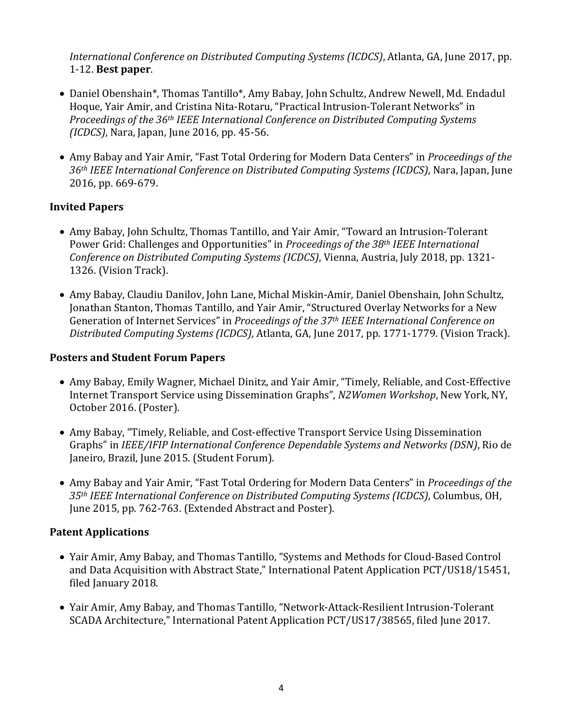*International Conference on Distributed Computing Systems (ICDCS)*, Atlanta, GA, June 2017, pp. 1-12. **Best paper**.

- Daniel Obenshain\*, Thomas Tantillo\*, Amy Babay, John Schultz, Andrew Newell, Md. Endadul Hoque, Yair Amir, and Cristina Nita-Rotaru, "Practical Intrusion-Tolerant Networks" in *Proceedings of the 36<sup>th</sup> IEEE International Conference on Distributed Computing Systems (ICDCS)*, Nara, Japan, June 2016, pp. 45-56.
- Amy Babay and Yair Amir, "Fast Total Ordering for Modern Data Centers" in *Proceedings of the* 36<sup>th</sup> *IEEE International Conference on Distributed Computing Systems (ICDCS)*, Nara, Japan, June 2016, pp. 669-679.

#### **Invited Papers**

- Amy Babay, John Schultz, Thomas Tantillo, and Yair Amir, "Toward an Intrusion-Tolerant Power Grid: Challenges and Opportunities" in *Proceedings of the 38<sup>th</sup> IEEE International Conference on Distributed Computing Systems (ICDCS)*, Vienna, Austria, July 2018, pp. 1321-1326. (Vision Track).
- Amy Babay, Claudiu Danilov, John Lane, Michal Miskin-Amir, Daniel Obenshain, John Schultz, Jonathan Stanton, Thomas Tantillo, and Yair Amir, "Structured Overlay Networks for a New Generation of Internet Services" in *Proceedings of the 37<sup>th</sup> IEEE International Conference on* Distributed Computing Systems (ICDCS), Atlanta, GA, June 2017, pp. 1771-1779. (Vision Track).

#### **Posters and Student Forum Papers**

- Amy Babay, Emily Wagner, Michael Dinitz, and Yair Amir, "Timely, Reliable, and Cost-Effective Internet Transport Service using Dissemination Graphs", *N2Women Workshop*, New York, NY, October 2016. (Poster).
- Amy Babay, "Timely, Reliable, and Cost-effective Transport Service Using Dissemination Graphs" in *IEEE/IFIP International Conference Dependable Systems and Networks (DSN)*, Rio de Janeiro, Brazil, June 2015. (Student Forum).
- Amy Babay and Yair Amir, "Fast Total Ordering for Modern Data Centers" in *Proceedings of the* 35<sup>th</sup> *IEEE International Conference on Distributed Computing Systems (ICDCS)*, Columbus, OH, June 2015, pp. 762-763. (Extended Abstract and Poster).

#### **Patent Applications**

- Yair Amir, Amy Babay, and Thomas Tantillo, "Systems and Methods for Cloud-Based Control and Data Acquisition with Abstract State," International Patent Application PCT/US18/15451, filed January 2018.
- Yair Amir, Amy Babay, and Thomas Tantillo, "Network-Attack-Resilient Intrusion-Tolerant SCADA Architecture," International Patent Application PCT/US17/38565, filed June 2017.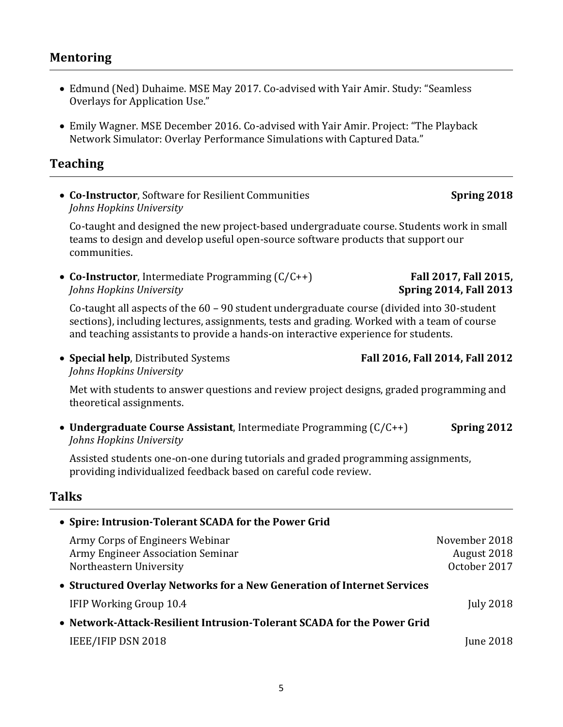#### **Mentoring**

- Edmund (Ned) Duhaime. MSE May 2017. Co-advised with Yair Amir. Study: "Seamless Overlays for Application Use."
- Emily Wagner. MSE December 2016. Co-advised with Yair Amir. Project: "The Playback Network Simulator: Overlay Performance Simulations with Captured Data."

#### **Teaching**

• **Co-Instructor**, Software for Resilient Communities **Spring 2018** *Johns Hopkins University*

Co-taught and designed the new project-based undergraduate course. Students work in small teams to design and develop useful open-source software products that support our communities.

• **Co-Instructor**, Intermediate Programming  $(C/C++)$  **Fall 2017, Fall 2015,** *Johns Hopkins University* **Spring 2014, Fall 2013** 

Co-taught all aspects of the  $60 - 90$  student undergraduate course (divided into 30-student sections), including lectures, assignments, tests and grading. Worked with a team of course and teaching assistants to provide a hands-on interactive experience for students.

• **Special help**, Distributed Systems **Fall 2016, Fall 2014, Fall 2012** *Johns Hopkins University*

Met with students to answer questions and review project designs, graded programming and theoretical assignments.

• **Undergraduate Course Assistant**, Intermediate Programming (C/C++) **Spring 2012** *Johns Hopkins University*

Assisted students one-on-one during tutorials and graded programming assignments, providing individualized feedback based on careful code review.

### **Talks**

| • Spire: Intrusion-Tolerant SCADA for the Power Grid                    |                  |
|-------------------------------------------------------------------------|------------------|
| Army Corps of Engineers Webinar                                         | November 2018    |
| Army Engineer Association Seminar                                       | August 2018      |
| Northeastern University                                                 | October 2017     |
| • Structured Overlay Networks for a New Generation of Internet Services |                  |
| IFIP Working Group 10.4                                                 | <b>July 2018</b> |
| • Network-Attack-Resilient Intrusion-Tolerant SCADA for the Power Grid  |                  |
| IEEE/IFIP DSN 2018                                                      | <b>June 2018</b> |
|                                                                         |                  |